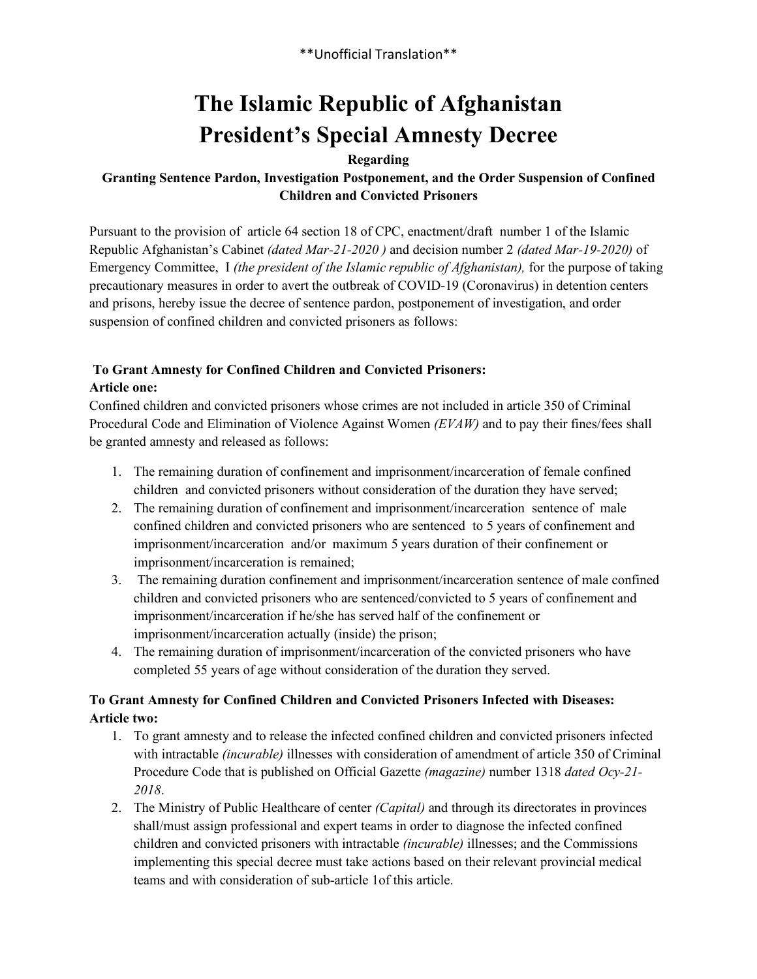\*\*Unofficial Translation\*\*

# **The Islamic Republic of Afghanistan President's Special Amnesty Decree**

#### **Regarding**

#### **Granting Sentence Pardon, Investigation Postponement, and the Order Suspension of Confined Children and Convicted Prisoners**

Pursuant to the provision of article 64 section 18 of CPC, enactment/draft number 1 of the Islamic Republic Afghanistan's Cabinet *(dated Mar-21-2020 )* and decision number 2 *(dated Mar-19-2020)* of Emergency Committee, I *(the president of the Islamic republic of Afghanistan),* for the purpose of taking precautionary measures in order to avert the outbreak of COVID-19 (Coronavirus) in detention centers and prisons, hereby issue the decree of sentence pardon, postponement of investigation, and order suspension of confined children and convicted prisoners as follows:

#### **To Grant Amnesty for Confined Children and Convicted Prisoners: Article one:**

Confined children and convicted prisoners whose crimes are not included in article 350 of Criminal Procedural Code and Elimination of Violence Against Women *(EVAW)* and to pay their fines/fees shall be granted amnesty and released as follows:

- 1. The remaining duration of confinement and imprisonment/incarceration of female confined children and convicted prisoners without consideration of the duration they have served;
- 2. The remaining duration of confinement and imprisonment/incarceration sentence of male confined children and convicted prisoners who are sentenced to 5 years of confinement and imprisonment/incarceration and/or maximum 5 years duration of their confinement or imprisonment/incarceration is remained;
- 3. The remaining duration confinement and imprisonment/incarceration sentence of male confined children and convicted prisoners who are sentenced/convicted to 5 years of confinement and imprisonment/incarceration if he/she has served half of the confinement or imprisonment/incarceration actually (inside) the prison;
- 4. The remaining duration of imprisonment/incarceration of the convicted prisoners who have completed 55 years of age without consideration of the duration they served.

## **To Grant Amnesty for Confined Children and Convicted Prisoners Infected with Diseases: Article two:**

- 1. To grant amnesty and to release the infected confined children and convicted prisoners infected with intractable *(incurable)* illnesses with consideration of amendment of article 350 of Criminal Procedure Code that is published on Official Gazette *(magazine)* number 1318 *dated Ocy-21- 2018*.
- 2. The Ministry of Public Healthcare of center *(Capital)* and through its directorates in provinces shall/must assign professional and expert teams in order to diagnose the infected confined children and convicted prisoners with intractable *(incurable)* illnesses; and the Commissions implementing this special decree must take actions based on their relevant provincial medical teams and with consideration of sub-article 1of this article.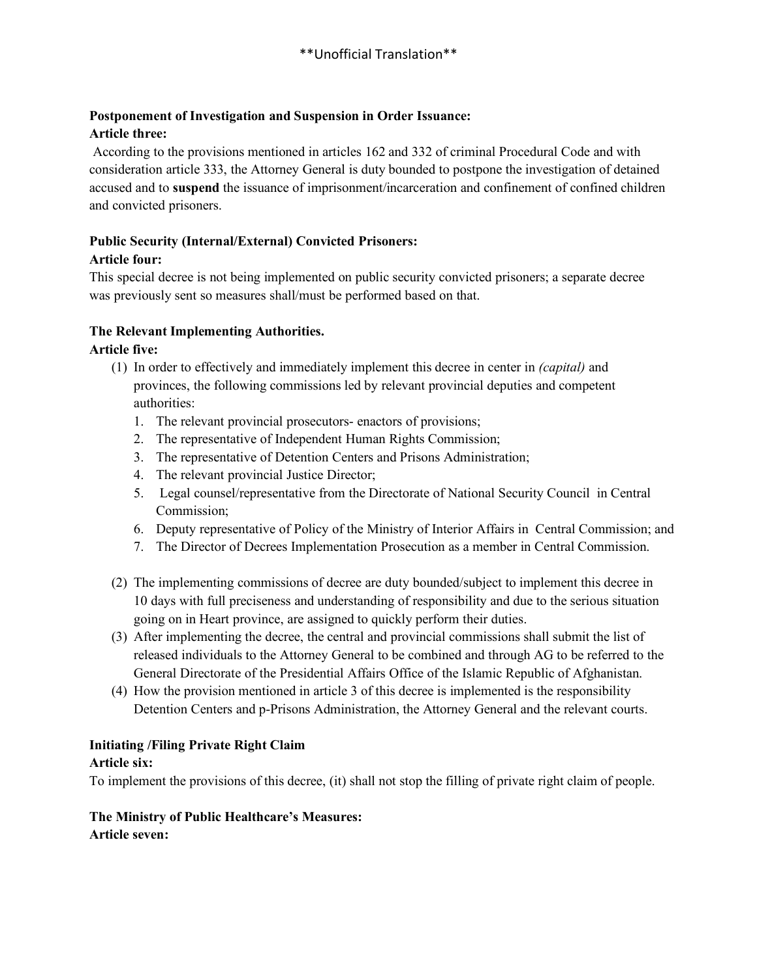#### **Postponement of Investigation and Suspension in Order Issuance: Article three:**

According to the provisions mentioned in articles 162 and 332 of criminal Procedural Code and with consideration article 333, the Attorney General is duty bounded to postpone the investigation of detained accused and to **suspend** the issuance of imprisonment/incarceration and confinement of confined children and convicted prisoners.

# **Public Security (Internal/External) Convicted Prisoners:**

#### **Article four:**

This special decree is not being implemented on public security convicted prisoners; a separate decree was previously sent so measures shall/must be performed based on that.

#### **The Relevant Implementing Authorities.**

#### **Article five:**

- (1) In order to effectively and immediately implement this decree in center in *(capital)* and provinces, the following commissions led by relevant provincial deputies and competent authorities:
	- 1. The relevant provincial prosecutors- enactors of provisions;
	- 2. The representative of Independent Human Rights Commission;
	- 3. The representative of Detention Centers and Prisons Administration;
	- 4. The relevant provincial Justice Director;
	- 5. Legal counsel/representative from the Directorate of National Security Council in Central Commission;
	- 6. Deputy representative of Policy of the Ministry of Interior Affairs in Central Commission; and
	- 7. The Director of Decrees Implementation Prosecution as a member in Central Commission.
- (2) The implementing commissions of decree are duty bounded/subject to implement this decree in 10 days with full preciseness and understanding of responsibility and due to the serious situation going on in Heart province, are assigned to quickly perform their duties.
- (3) After implementing the decree, the central and provincial commissions shall submit the list of released individuals to the Attorney General to be combined and through AG to be referred to the General Directorate of the Presidential Affairs Office of the Islamic Republic of Afghanistan.
- (4) How the provision mentioned in article 3 of this decree is implemented is the responsibility Detention Centers and p-Prisons Administration, the Attorney General and the relevant courts.

#### **Initiating /Filing Private Right Claim**

#### **Article six:**

To implement the provisions of this decree, (it) shall not stop the filling of private right claim of people.

#### **The Ministry of Public Healthcare's Measures: Article seven:**